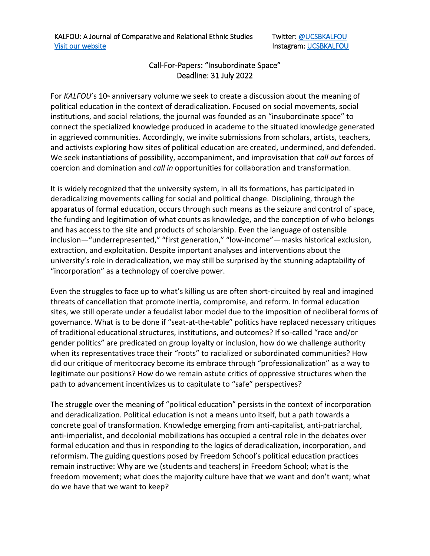## Call-For-Papers: "Insubordinate Space" Deadline: 31 July 2022

For *KALFOU*'s 10<sup>th</sup> anniversary volume we seek to create a discussion about the meaning of political education in the context of deradicalization. Focused on social movements, social institutions, and social relations, the journal was founded as an "insubordinate space" to connect the specialized knowledge produced in academe to the situated knowledge generated in aggrieved communities. Accordingly, we invite submissions from scholars, artists, teachers, and activists exploring how sites of political education are created, undermined, and defended. We seek instantiations of possibility, accompaniment, and improvisation that *call out* forces of coercion and domination and *call in* opportunities for collaboration and transformation.

It is widely recognized that the university system, in all its formations, has participated in deradicalizing movements calling for social and political change. Disciplining, through the apparatus of formal education, occurs through such means as the seizure and control of space, the funding and legitimation of what counts as knowledge, and the conception of who belongs and has access to the site and products of scholarship. Even the language of ostensible inclusion—"underrepresented," "first generation," "low-income"—masks historical exclusion, extraction, and exploitation. Despite important analyses and interventions about the university's role in deradicalization, we may still be surprised by the stunning adaptability of "incorporation" as a technology of coercive power.

Even the struggles to face up to what's killing us are often short-circuited by real and imagined threats of cancellation that promote inertia, compromise, and reform. In formal education sites, we still operate under a feudalist labor model due to the imposition of neoliberal forms of governance. What is to be done if "seat-at-the-table" politics have replaced necessary critiques of traditional educational structures, institutions, and outcomes? If so-called "race and/or gender politics" are predicated on group loyalty or inclusion, how do we challenge authority when its representatives trace their "roots" to racialized or subordinated communities? How did our critique of meritocracy become its embrace through "professionalization" as a way to legitimate our positions? How do we remain astute critics of oppressive structures when the path to advancement incentivizes us to capitulate to "safe" perspectives?

The struggle over the meaning of "political education" persists in the context of incorporation and deradicalization. Political education is not a means unto itself, but a path towards a concrete goal of transformation. Knowledge emerging from anti-capitalist, anti-patriarchal, anti-imperialist, and decolonial mobilizations has occupied a central role in the debates over formal education and thus in responding to the logics of deradicalization, incorporation, and reformism. The guiding questions posed by Freedom School's political education practices remain instructive: Why are we (students and teachers) in Freedom School; what is the freedom movement; what does the majority culture have that we want and don't want; what do we have that we want to keep?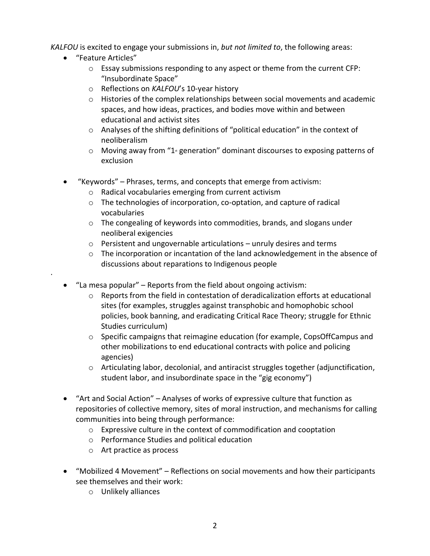*KALFOU* is excited to engage your submissions in, *but not limited to*, the following areas:

• "Feature Articles"

·

- $\circ$  Essay submissions responding to any aspect or theme from the current CFP: "Insubordinate Space"
- o Reflections on *KALFOU*'s 10-year history
- o Histories of the complex relationships between social movements and academic spaces, and how ideas, practices, and bodies move within and between educational and activist sites
- $\circ$  Analyses of the shifting definitions of "political education" in the context of neoliberalism
- $\circ$  Moving away from "1<sup>st</sup> generation" dominant discourses to exposing patterns of exclusion
- "Keywords" Phrases, terms, and concepts that emerge from activism:
	- o Radical vocabularies emerging from current activism
	- o The technologies of incorporation, co-optation, and capture of radical vocabularies
	- o The congealing of keywords into commodities, brands, and slogans under neoliberal exigencies
	- o Persistent and ungovernable articulations unruly desires and terms
	- $\circ$  The incorporation or incantation of the land acknowledgement in the absence of discussions about reparations to Indigenous people
- "La mesa popular" Reports from the field about ongoing activism:
	- $\circ$  Reports from the field in contestation of deradicalization efforts at educational sites (for examples, struggles against transphobic and homophobic school policies, book banning, and eradicating Critical Race Theory; struggle for Ethnic Studies curriculum)
	- $\circ$  Specific campaigns that reimagine education (for example, CopsOffCampus and other mobilizations to end educational contracts with police and policing agencies)
	- $\circ$  Articulating labor, decolonial, and antiracist struggles together (adjunctification, student labor, and insubordinate space in the "gig economy")
- "Art and Social Action" Analyses of works of expressive culture that function as repositories of collective memory, sites of moral instruction, and mechanisms for calling communities into being through performance:
	- o Expressive culture in the context of commodification and cooptation
	- o Performance Studies and political education
	- o Art practice as process
- "Mobilized 4 Movement" Reflections on social movements and how their participants see themselves and their work:
	- o Unlikely alliances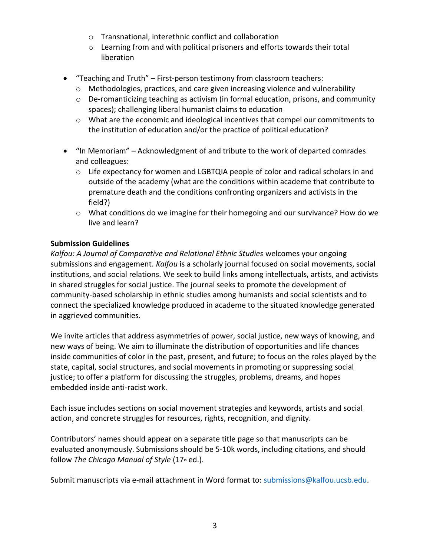- o Transnational, interethnic conflict and collaboration
- o Learning from and with political prisoners and efforts towards their total liberation
- "Teaching and Truth" First-person testimony from classroom teachers:
	- o Methodologies, practices, and care given increasing violence and vulnerability
	- o De-romanticizing teaching as activism (in formal education, prisons, and community spaces); challenging liberal humanist claims to education
	- o What are the economic and ideological incentives that compel our commitments to the institution of education and/or the practice of political education?
- "In Memoriam" Acknowledgment of and tribute to the work of departed comrades and colleagues:
	- $\circ$  Life expectancy for women and LGBTQIA people of color and radical scholars in and outside of the academy (what are the conditions within academe that contribute to premature death and the conditions confronting organizers and activists in the field?)
	- $\circ$  What conditions do we imagine for their homegoing and our survivance? How do we live and learn?

## **Submission Guidelines**

*Kalfou: A Journal of Comparative and Relational Ethnic Studies* welcomes your ongoing submissions and engagement. *Kalfou* is a scholarly journal focused on social movements, social institutions, and social relations. We seek to build links among intellectuals, artists, and activists in shared struggles for social justice. The journal seeks to promote the development of community-based scholarship in ethnic studies among humanists and social scientists and to connect the specialized knowledge produced in academe to the situated knowledge generated in aggrieved communities.

We invite articles that address asymmetries of power, social justice, new ways of knowing, and new ways of being. We aim to illuminate the distribution of opportunities and life chances inside communities of color in the past, present, and future; to focus on the roles played by the state, capital, social structures, and social movements in promoting or suppressing social justice; to offer a platform for discussing the struggles, problems, dreams, and hopes embedded inside anti-racist work.

Each issue includes sections on social movement strategies and keywords, artists and social action, and concrete struggles for resources, rights, recognition, and dignity.

Contributors' names should appear on a separate title page so that manuscripts can be evaluated anonymously. Submissions should be 5-10k words, including citations, and should follow The Chicago Manual of Style (17<sup>th</sup> ed.).

Submit manuscripts via e-mail attachment in Word format to: submissions@kalfou.ucsb.edu.